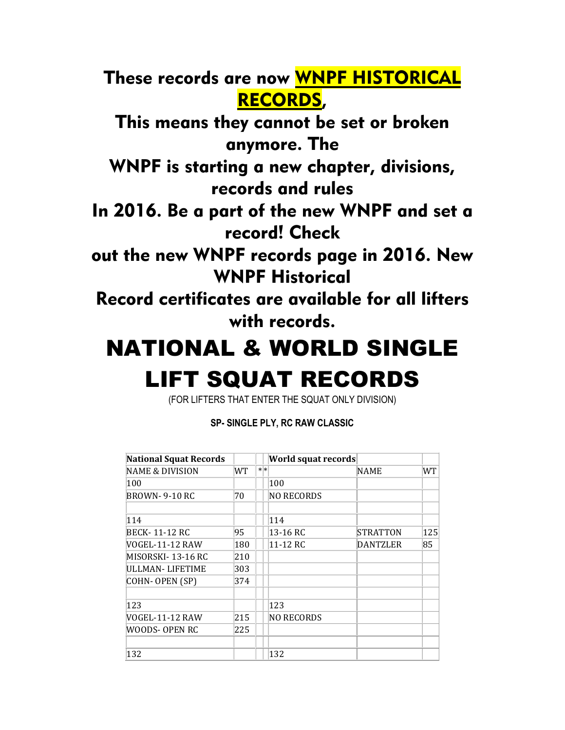These records are now WNPF HISTORICAL RECORDS,

This means they cannot be set or broken anymore. The

WNPF is starting a new chapter, divisions, records and rules

In 2016. Be a part of the new WNPF and set a record! Check

out the new WNPF records page in 2016. New WNPF Historical

Record certificates are available for all lifters with records.

## NATIONAL & WORLD SINGLE LIFT SQUAT RECORDS

(FOR LIFTERS THAT ENTER THE SQUAT ONLY DIVISION)

**SP- SINGLE PLY, RC RAW CLASSIC**

| <b>National Squat Records</b> |     |    | World squat records |                 |     |
|-------------------------------|-----|----|---------------------|-----------------|-----|
| <b>NAME &amp; DIVISION</b>    | WT  | ∗∗ |                     | NAME            | WT  |
| 100                           |     |    | 100                 |                 |     |
| BROWN-9-10 RC                 | 70  |    | <b>NO RECORDS</b>   |                 |     |
| 114                           |     |    | 114                 |                 |     |
| BECK- 11-12 RC                | 95  |    | 13-16 RC            | <b>STRATTON</b> | 125 |
| VOGEL-11-12 RAW               | 180 |    | 11-12 RC            | <b>DANTZLER</b> | 85  |
| MISORSKI- 13-16 RC            | 210 |    |                     |                 |     |
| ULLMAN- LIFETIME              | 303 |    |                     |                 |     |
| COHN- OPEN (SP)               | 374 |    |                     |                 |     |
| 123                           |     |    | 123                 |                 |     |
| VOGEL-11-12 RAW               | 215 |    | <b>NO RECORDS</b>   |                 |     |
| WOODS- OPEN RC                | 225 |    |                     |                 |     |
| 132                           |     |    | 132                 |                 |     |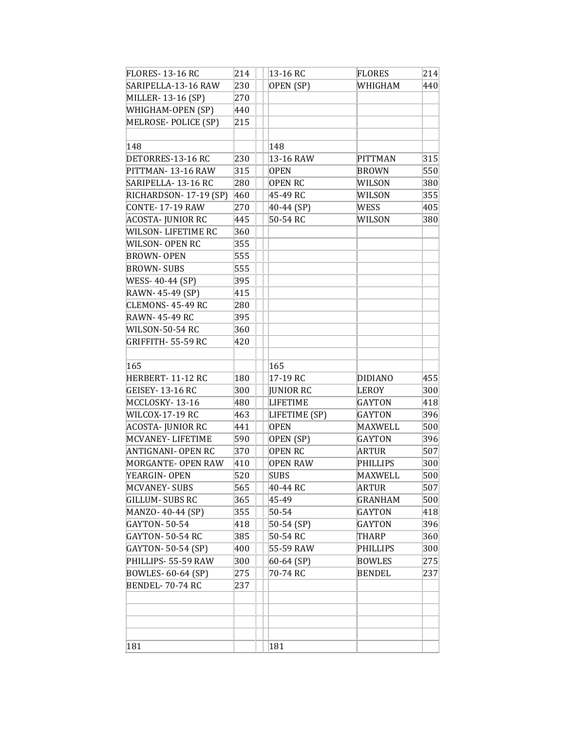| <b>FLORES-13-16 RC</b>  | 214 | 13-16 RC        | <b>FLORES</b>  | 214 |
|-------------------------|-----|-----------------|----------------|-----|
| SARIPELLA-13-16 RAW     | 230 | OPEN (SP)       | WHIGHAM        | 440 |
| MILLER-13-16 (SP)       | 270 |                 |                |     |
| WHIGHAM-OPEN (SP)       | 440 |                 |                |     |
| MELROSE- POLICE (SP)    | 215 |                 |                |     |
|                         |     |                 |                |     |
| 148                     |     | 148             |                |     |
| DETORRES-13-16 RC       | 230 | 13-16 RAW       | <b>PITTMAN</b> | 315 |
| PITTMAN-13-16 RAW       | 315 | <b>OPEN</b>     | <b>BROWN</b>   | 550 |
| SARIPELLA-13-16 RC      | 280 | <b>OPEN RC</b>  | WILSON         | 380 |
| RICHARDSON- 17-19 (SP)  | 460 | 45-49 RC        | WILSON         | 355 |
| CONTE-17-19 RAW         | 270 | 40-44 (SP)      | WESS           | 405 |
| ACOSTA- JUNIOR RC       | 445 | 50-54 RC        | WILSON         | 380 |
| WILSON- LIFETIME RC     | 360 |                 |                |     |
| WILSON- OPEN RC         | 355 |                 |                |     |
| <b>BROWN- OPEN</b>      | 555 |                 |                |     |
| <b>BROWN-SUBS</b>       | 555 |                 |                |     |
| WESS-40-44 (SP)         | 395 |                 |                |     |
| RAWN-45-49 (SP)         | 415 |                 |                |     |
| CLEMONS-45-49 RC        | 280 |                 |                |     |
| RAWN-45-49 RC           | 395 |                 |                |     |
| WILSON-50-54 RC         | 360 |                 |                |     |
| GRIFFITH- 55-59 RC      | 420 |                 |                |     |
|                         |     |                 |                |     |
| 165                     |     | 165             |                |     |
| HERBERT-11-12 RC        | 180 | 17-19 RC        | <b>DIDIANO</b> | 455 |
| <b>GEISEY-13-16 RC</b>  | 300 | JUNIOR RC       | LEROY          | 300 |
| MCCLOSKY-13-16          | 480 | <b>LIFETIME</b> | GAYTON         | 418 |
| WILCOX-17-19 RC         | 463 | LIFETIME (SP)   | <b>GAYTON</b>  | 396 |
| <b>ACOSTA-JUNIOR RC</b> | 441 | <b>OPEN</b>     | MAXWELL        | 500 |
| MCVANEY- LIFETIME       | 590 | OPEN (SP)       | <b>GAYTON</b>  | 396 |
| ANTIGNANI- OPEN RC      | 370 | <b>OPEN RC</b>  | ARTUR          | 507 |
| MORGANTE- OPEN RAW      | 410 | <b>OPEN RAW</b> | PHILLIPS       | 300 |
| YEARGIN-OPEN            | 520 | SUBS            | MAXWELL        | 500 |
| MCVANEY- SUBS           | 565 | 40-44 RC        | <b>ARTUR</b>   | 507 |
| <b>GILLUM- SUBS RC</b>  | 365 | 45-49           | <b>GRANHAM</b> | 500 |
| MANZO-40-44 (SP)        | 355 | 50-54           | <b>GAYTON</b>  | 418 |
| GAYTON- 50-54           | 418 | 50-54 (SP)      | <b>GAYTON</b>  | 396 |
| GAYTON- 50-54 RC        | 385 | 50-54 RC        | THARP          | 360 |
| GAYTON- 50-54 (SP)      | 400 | 55-59 RAW       | PHILLIPS       | 300 |
| PHILLIPS- 55-59 RAW     | 300 | 60-64 (SP)      | <b>BOWLES</b>  | 275 |
| BOWLES- 60-64 (SP)      | 275 | 70-74 RC        | <b>BENDEL</b>  | 237 |
| BENDEL-70-74 RC         | 237 |                 |                |     |
|                         |     |                 |                |     |
|                         |     |                 |                |     |
|                         |     |                 |                |     |
|                         |     |                 |                |     |
| 181                     |     | 181             |                |     |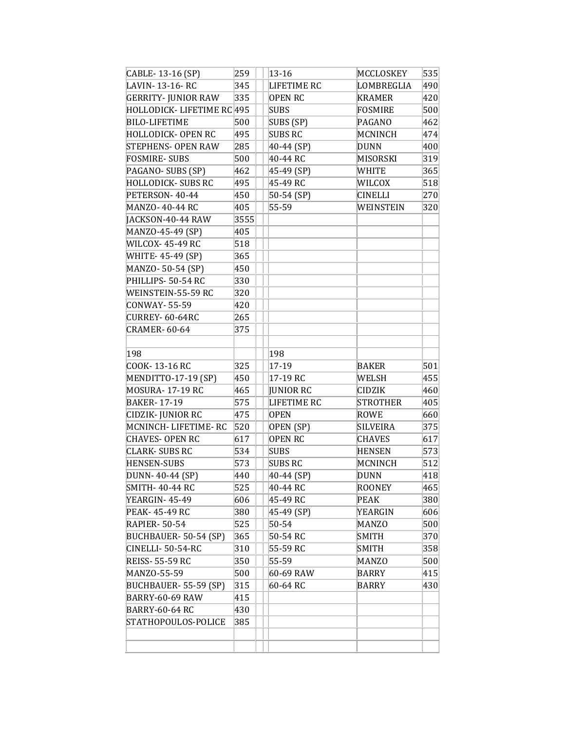| CABLE-13-16 (SP)           | 259  | $13 - 16$          | MCCLOSKEY       | 535 |
|----------------------------|------|--------------------|-----------------|-----|
| LAVIN-13-16-RC             | 345  | <b>LIFETIME RC</b> | LOMBREGLIA      | 490 |
| <b>GERRITY- JUNIOR RAW</b> | 335  | <b>OPEN RC</b>     | <b>KRAMER</b>   | 420 |
| HOLLODICK- LIFETIME RC 495 |      | SUBS               | FOSMIRE         | 500 |
| <b>BILO-LIFETIME</b>       | 500  | SUBS (SP)          | <b>PAGANO</b>   | 462 |
| <b>HOLLODICK- OPEN RC</b>  | 495  | <b>SUBS RC</b>     | MCNINCH         | 474 |
| <b>STEPHENS- OPEN RAW</b>  | 285  | 40-44 (SP)         | <b>DUNN</b>     | 400 |
| <b>FOSMIRE-SUBS</b>        | 500  | 40-44 RC           | MISORSKI        | 319 |
| PAGANO- SUBS (SP)          | 462  | 45-49 (SP)         | WHITE           | 365 |
| <b>HOLLODICK- SUBS RC</b>  | 495  | 45-49 RC           | WILCOX          | 518 |
| PETERSON-40-44             | 450  | 50-54 (SP)         | <b>CINELLI</b>  | 270 |
| MANZO-40-44 RC             | 405  | 55-59              | WEINSTEIN       | 320 |
| JACKSON-40-44 RAW          | 3555 |                    |                 |     |
| MANZO-45-49 (SP)           | 405  |                    |                 |     |
| <b>WILCOX-45-49 RC</b>     | 518  |                    |                 |     |
| WHITE-45-49 (SP)           | 365  |                    |                 |     |
| MANZO-50-54 (SP)           | 450  |                    |                 |     |
| PHILLIPS- 50-54 RC         | 330  |                    |                 |     |
| WEINSTEIN-55-59 RC         | 320  |                    |                 |     |
| CONWAY-55-59               | 420  |                    |                 |     |
| CURREY- 60-64RC            | 265  |                    |                 |     |
| <b>CRAMER-60-64</b>        | 375  |                    |                 |     |
|                            |      |                    |                 |     |
| 198                        |      | 198                |                 |     |
| COOK-13-16 RC              | 325  | 17-19              | <b>BAKER</b>    | 501 |
| MENDITTO-17-19 (SP)        | 450  | 17-19 RC           | WELSH           | 455 |
| MOSURA-17-19 RC            | 465  | <b>JUNIOR RC</b>   | <b>CIDZIK</b>   | 460 |
| <b>BAKER-17-19</b>         | 575  | LIFETIME RC        | <b>STROTHER</b> | 405 |
| CIDZIK- JUNIOR RC          | 475  | <b>OPEN</b>        | ROWE            | 660 |
| MCNINCH-LIFETIME-RC        | 520  | OPEN (SP)          | SILVEIRA        | 375 |
| <b>CHAVES- OPEN RC</b>     | 617  | <b>OPEN RC</b>     | <b>CHAVES</b>   | 617 |
| <b>CLARK-SUBS RC</b>       | 534  | <b>SUBS</b>        | <b>HENSEN</b>   | 573 |
| <b>HENSEN-SUBS</b>         | 573  | <b>SUBS RC</b>     | MCNINCH         | 512 |
| DUNN-40-44 (SP)            | 440  | 40-44 (SP)         | <b>DUNN</b>     | 418 |
| SMITH- 40-44 RC            | 525  | 40-44 RC           | <b>ROONEY</b>   | 465 |
| YEARGIN-45-49              | 606  | 45-49 RC           | PEAK            | 380 |
| PEAK- 45-49 RC             | 380  | 45-49 (SP)         | <b>YEARGIN</b>  | 606 |
| <b>RAPIER-50-54</b>        | 525  | 50-54              | <b>MANZO</b>    | 500 |
| BUCHBAUER-50-54 (SP)       | 365  | 50-54 RC           | SMITH           | 370 |
| CINELLI-50-54-RC           | 310  | 55-59 RC           | SMITH           | 358 |
| <b>REISS-55-59 RC</b>      | 350  | 55-59              | <b>MANZO</b>    | 500 |
| MANZO-55-59                | 500  | 60-69 RAW          | <b>BARRY</b>    | 415 |
| BUCHBAUER-55-59 (SP)       | 315  | 60-64 RC           | BARRY           | 430 |
| BARRY-60-69 RAW            | 415  |                    |                 |     |
| <b>BARRY-60-64 RC</b>      | 430  |                    |                 |     |
| STATHOPOULOS-POLICE        | 385  |                    |                 |     |
|                            |      |                    |                 |     |
|                            |      |                    |                 |     |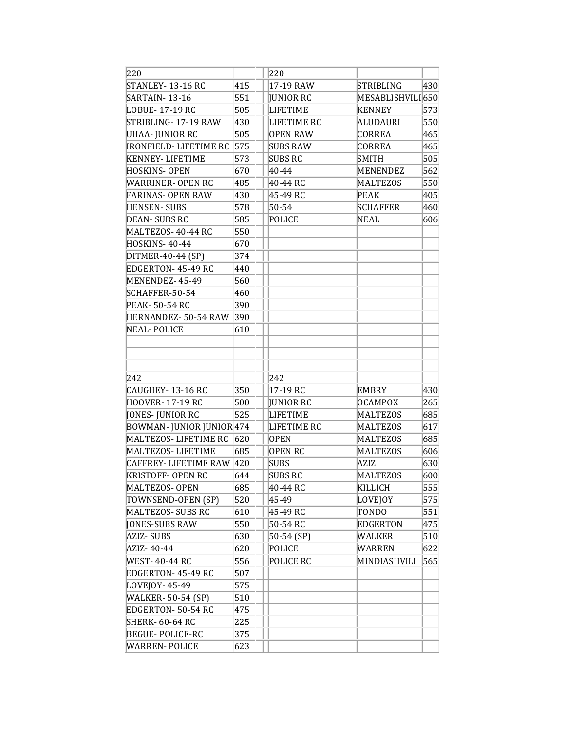| 220                           |     | 220                |                  |     |
|-------------------------------|-----|--------------------|------------------|-----|
| STANLEY-13-16 RC              | 415 | 17-19 RAW          | STRIBLING        | 430 |
| SARTAIN-13-16                 | 551 | JUNIOR RC          | MESABLISHVILI650 |     |
| LOBUE-17-19 RC                | 505 | <b>LIFETIME</b>    | KENNEY           | 573 |
| STRIBLING-17-19 RAW           | 430 | LIFETIME RC        | ALUDAURI         | 550 |
| UHAA- JUNIOR RC               | 505 | <b>OPEN RAW</b>    | <b>CORREA</b>    | 465 |
| <b>IRONFIELD- LIFETIME RC</b> | 575 | <b>SUBS RAW</b>    | CORREA           | 465 |
| <b>KENNEY- LIFETIME</b>       | 573 | <b>SUBS RC</b>     | <b>SMITH</b>     | 505 |
| HOSKINS- OPEN                 | 670 | 40-44              | MENENDEZ         | 562 |
| WARRINER- OPEN RC             | 485 | 40-44 RC           | <b>MALTEZOS</b>  | 550 |
| FARINAS- OPEN RAW             | 430 | 45-49 RC           | <b>PEAK</b>      | 405 |
| <b>HENSEN-SUBS</b>            | 578 | 50-54              | <b>SCHAFFER</b>  | 460 |
| DEAN- SUBS RC                 | 585 | POLICE             | <b>NEAL</b>      | 606 |
| MALTEZOS-40-44 RC             | 550 |                    |                  |     |
| <b>HOSKINS-40-44</b>          | 670 |                    |                  |     |
| DITMER-40-44 (SP)             | 374 |                    |                  |     |
| EDGERTON-45-49 RC             | 440 |                    |                  |     |
| MENENDEZ-45-49                | 560 |                    |                  |     |
| SCHAFFER-50-54                | 460 |                    |                  |     |
| PEAK- 50-54 RC                | 390 |                    |                  |     |
| HERNANDEZ- 50-54 RAW          | 390 |                    |                  |     |
| NEAL-POLICE                   | 610 |                    |                  |     |
|                               |     |                    |                  |     |
| 242                           |     | 242                |                  |     |
| CAUGHEY-13-16 RC              | 350 | 17-19 RC           | EMBRY            | 430 |
| <b>HOOVER-17-19 RC</b>        | 500 | JUNIOR RC          | OCAMPOX          | 265 |
| JONES- JUNIOR RC              | 525 | <b>LIFETIME</b>    | MALTEZOS         | 685 |
| BOWMAN-JUNIOR JUNIOR 474      |     | <b>LIFETIME RC</b> | <b>MALTEZOS</b>  | 617 |
| MALTEZOS- LIFETIME RC         | 620 | <b>OPEN</b>        | <b>MALTEZOS</b>  | 685 |
| MALTEZOS-LIFETIME             | 685 | OPEN RC            | <b>MALTEZOS</b>  | 606 |
| CAFFREY- LIFETIME RAW 420     |     | SUBS               | AZIZ             | 630 |
| <b>KRISTOFF- OPEN RC</b>      | 644 | SUBS RC            | MALTEZOS         | 600 |
| MALTEZOS- OPEN                | 685 | 40-44 RC           | KILLICH          | 555 |
| TOWNSEND-OPEN (SP)            | 520 | 45-49              | LOVEJOY          | 575 |
| MALTEZOS- SUBS RC             | 610 | 45-49 RC           | TONDO            | 551 |
| JONES-SUBS RAW                | 550 | 50-54 RC           | EDGERTON         | 475 |
| AZIZ- SUBS                    | 630 | 50-54 (SP)         | WALKER           | 510 |
| AZIZ- 40-44                   | 620 | POLICE             | WARREN           | 622 |
| <b>WEST-40-44 RC</b>          | 556 | POLICE RC          | MINDIASHVILI     | 565 |
| EDGERTON-45-49 RC             | 507 |                    |                  |     |
| LOVEJOY-45-49                 | 575 |                    |                  |     |
| <b>WALKER-50-54 (SP)</b>      | 510 |                    |                  |     |
| EDGERTON- 50-54 RC            | 475 |                    |                  |     |
| <b>SHERK-60-64 RC</b>         | 225 |                    |                  |     |
| <b>BEGUE-POLICE-RC</b>        | 375 |                    |                  |     |
| <b>WARREN-POLICE</b>          | 623 |                    |                  |     |